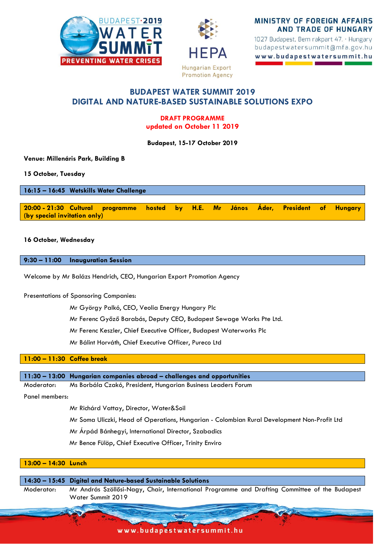



MINISTRY OF FOREIGN AFFAIRS **AND TRADE OF HUNGARY** 

1027 Budapest, Bem rakpart 47. · Hungary budapestwatersummit@mfa.gov.hu www.budapestwatersummit.hu

# **BUDAPEST WATER SUMMIT 2019 DIGITAL AND NATURE-BASED SUSTAINABLE SOLUTIONS EXPO**

## **DRAFT PROGRAMME updated on October 11 2019**

**Budapest, 15-17 October 2019**

**Venue: Millenáris Park, Building B**

**15 October, Tuesday**

**16:15 – 16:45 Wetskills Water Challenge**

**20:00 - 21:30 Cultural programme hosted by H.E. Mr János Áder, President of Hungary (by special invitation only)**

## **16 October, Wednesday**

**9:30 – 11:00 Inauguration Session** 

Welcome by Mr Balázs Hendrich, CEO, Hungarian Export Promotion Agency

Presentations of Sponsoring Companies:

Mr György Palkó, CEO, Veolia Energy Hungary Plc

Mr Ferenc Győző Barabás, Deputy CEO, Budapest Sewage Works Pte Ltd.

Mr Ferenc Keszler, Chief Executive Officer, Budapest Waterworks Plc

Mr Bálint Horváth, Chief Executive Officer, Pureco Ltd

#### **11:00 – 11:30 Coffee break**

#### **11:30 – 13:00 Hungarian companies abroad – challenges and opportunities**

Moderator: Ms Borbála Czakó, President, Hungarian Business Leaders Forum

Panel members:

Mr Richárd Vattay, Director, Water&Soil

Mr Soma Uliczki, Head of Operations, Hungarian - Colombian Rural Development Non-Profit Ltd

Mr Árpád Bánhegyi, International Director, Szabadics

Mr Bence Fülöp, Chief Executive Officer, Trinity Enviro

## **13:00 – 14:30 Lunch**

**14:30 – 15:45 Digital and Nature-based Sustainable Solutions** Moderator: Mr András Szöllősi-Nagy, Chair, International Programme and Drafting Committee of the Budapest Water Summit 2019

www.budapestwatersummit.hu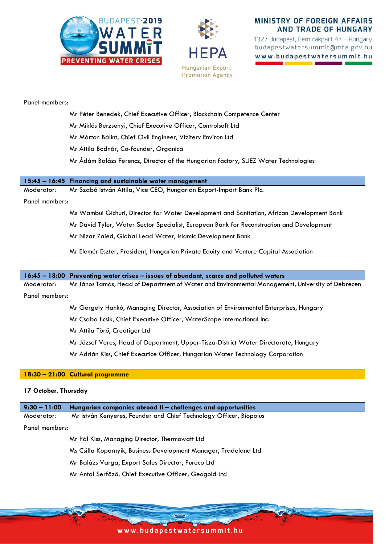



# **MINISTRY OF FOREIGN AFFAIRS AND TRADE OF HUNGARY**

1027 Budapest, Bem rakpart 47. · Hungary budapestwatersummit@mfa.gov.hu www.budapestwatersummit.hu

#### Panel members:

- Mr Péter Benedek, Chief Executive Officer, Blockchain Competence Center
- Mr Miklós Berzsenyi, Chief Executive Officer, Controlsoft Ltd
- Mr Márton Bálint, Chief Civil Engineer, Viziterv Environ Ltd
- Mr Attila Bodnár, Co-founder, Organica
- Mr Ádám Balázs Ferencz, Director of the Hungarian factory, SUEZ Water Technologies

#### **15:45 – 16:45 Financing and sustainable water management**

Moderator: Mr Szabó István Attila, Vice CEO, Hungarian Export-Import Bank Plc.

#### Panel members:

- Ms Wambui Gichuri, Director for Water Development and Sanitation, African Development Bank
- Mr David Tyler, Water Sector Specialist, European Bank for Reconstruction and Development

Mr Nizar Zaied, Global Lead Water, Islamic Development Bank

Mr Elemér Eszter, President, Hungarian Private Equity and Venture Capital Association

#### **16:45 – 18:00 Preventing water crises – issues of abundant, scarce and polluted waters**

Moderator: Mr János Tamás, Head of Department of Water and Environmental Management, University of Debrecen

#### Panel members:

- Mr Gergely Hankó, Managing Director, Association of Environmental Enterprises, Hungary
- Mr Csaba Ilcsik, Chief Executive Officer, WaterScope International Inc.
- Mr Attila Törő, Creatiger Ltd
- Mr József Veres, Head of Department, Upper-Tisza-District Water Directorate, Hungary
- Mr Adrián Kiss, Chief Executice Officer, Hungarian Water Technology Corporation

#### **18:30 – 21:00 Cultural programme**

#### **17 October, Thursday**

| $9:30 - 11:00$ | Hungarian companies abroad II - challenges and opportunities       |
|----------------|--------------------------------------------------------------------|
| Moderator:     | Mr István Kenyeres, Founder and Chief Technology Officer, Biopolus |
| Panel members: |                                                                    |
|                | Mr Pál Kiss, Managing Director, Thermowatt Ltd                     |
|                | Ms Csilla Kopornyik, Business Development Manager, Tradeland Ltd   |
|                | Mr Balázs Varga, Export Sales Director, Pureco Ltd                 |

Mr Antal Serfőző, Chief Executive Officer, Geogold Ltd

www.budapestwatersummit.hu